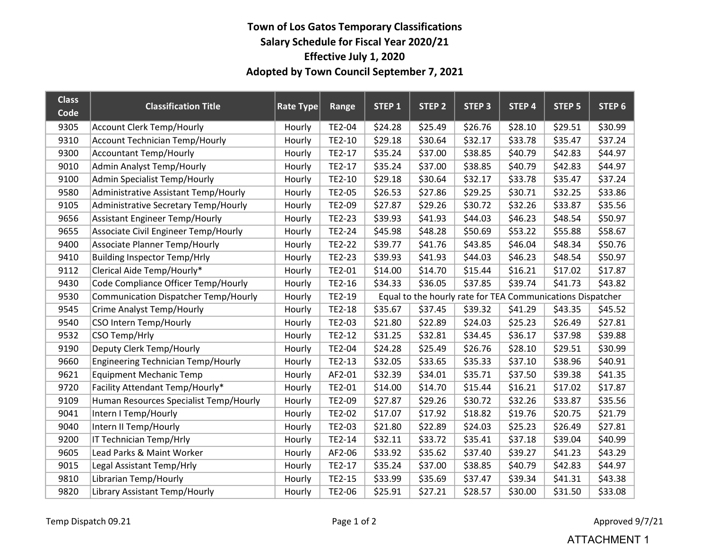## Town of Los Gatos Temporary Classifications Salary Schedule for Fiscal Year 2020/21 Effective July 1, 2020 Adopted by Town Council September 7, 2021

| <b>Class</b><br>Code | <b>Classification Title</b>                 | Rate Type | Range  | STEP 1                                                     | STEP <sub>2</sub> | <b>STEP 3</b> | STEP 4  | <b>STEP 5</b> | STEP 6  |  |
|----------------------|---------------------------------------------|-----------|--------|------------------------------------------------------------|-------------------|---------------|---------|---------------|---------|--|
| 9305                 | <b>Account Clerk Temp/Hourly</b>            | Hourly    | TE2-04 | \$24.28                                                    | \$25.49           | \$26.76       | \$28.10 | \$29.51       | \$30.99 |  |
| 9310                 | <b>Account Technician Temp/Hourly</b>       | Hourly    | TE2-10 | \$29.18                                                    | \$30.64           | \$32.17       | \$33.78 | \$35.47       | \$37.24 |  |
| 9300                 | <b>Accountant Temp/Hourly</b>               | Hourly    | TE2-17 | \$35.24                                                    | \$37.00           | \$38.85       | \$40.79 | \$42.83       | \$44.97 |  |
| 9010                 | <b>Admin Analyst Temp/Hourly</b>            | Hourly    | TE2-17 | \$35.24                                                    | \$37.00           | \$38.85       | \$40.79 | \$42.83       | \$44.97 |  |
| 9100                 | Admin Specialist Temp/Hourly                | Hourly    | TE2-10 | \$29.18                                                    | \$30.64           | \$32.17       | \$33.78 | \$35.47       | \$37.24 |  |
| 9580                 | Administrative Assistant Temp/Hourly        | Hourly    | TE2-05 | \$26.53                                                    | \$27.86           | \$29.25       | \$30.71 | \$32.25       | \$33.86 |  |
| 9105                 | Administrative Secretary Temp/Hourly        | Hourly    | TE2-09 | \$27.87                                                    | \$29.26           | \$30.72       | \$32.26 | \$33.87       | \$35.56 |  |
| 9656                 | <b>Assistant Engineer Temp/Hourly</b>       | Hourly    | TE2-23 | \$39.93                                                    | \$41.93           | \$44.03       | \$46.23 | \$48.54       | \$50.97 |  |
| 9655                 | Associate Civil Engineer Temp/Hourly        | Hourly    | TE2-24 | \$45.98                                                    | \$48.28           | \$50.69       | \$53.22 | \$55.88       | \$58.67 |  |
| 9400                 | <b>Associate Planner Temp/Hourly</b>        | Hourly    | TE2-22 | \$39.77                                                    | \$41.76           | \$43.85       | \$46.04 | \$48.34       | \$50.76 |  |
| 9410                 | <b>Building Inspector Temp/Hrly</b>         | Hourly    | TE2-23 | \$39.93                                                    | \$41.93           | \$44.03       | \$46.23 | \$48.54       | \$50.97 |  |
| 9112                 | Clerical Aide Temp/Hourly*                  | Hourly    | TE2-01 | \$14.00                                                    | \$14.70           | \$15.44       | \$16.21 | \$17.02       | \$17.87 |  |
| 9430                 | Code Compliance Officer Temp/Hourly         | Hourly    | TE2-16 | \$34.33                                                    | \$36.05           | \$37.85       | \$39.74 | \$41.73       | \$43.82 |  |
| 9530                 | <b>Communication Dispatcher Temp/Hourly</b> | Hourly    | TE2-19 | Equal to the hourly rate for TEA Communications Dispatcher |                   |               |         |               |         |  |
| 9545                 | <b>Crime Analyst Temp/Hourly</b>            | Hourly    | TE2-18 | \$35.67                                                    | \$37.45           | \$39.32       | \$41.29 | \$43.35       | \$45.52 |  |
| 9540                 | CSO Intern Temp/Hourly                      | Hourly    | TE2-03 | \$21.80                                                    | \$22.89           | \$24.03       | \$25.23 | \$26.49       | \$27.81 |  |
| 9532                 | CSO Temp/Hrly                               | Hourly    | TE2-12 | \$31.25                                                    | \$32.81           | \$34.45       | \$36.17 | \$37.98       | \$39.88 |  |
| 9190                 | Deputy Clerk Temp/Hourly                    | Hourly    | TE2-04 | \$24.28                                                    | \$25.49           | \$26.76       | \$28.10 | \$29.51       | \$30.99 |  |
| 9660                 | <b>Engineering Technician Temp/Hourly</b>   | Hourly    | TE2-13 | \$32.05                                                    | \$33.65           | \$35.33       | \$37.10 | \$38.96       | \$40.91 |  |
| 9621                 | <b>Equipment Mechanic Temp</b>              | Hourly    | AF2-01 | \$32.39                                                    | \$34.01           | \$35.71       | \$37.50 | \$39.38       | \$41.35 |  |
| 9720                 | Facility Attendant Temp/Hourly*             | Hourly    | TE2-01 | \$14.00                                                    | \$14.70           | \$15.44       | \$16.21 | \$17.02       | \$17.87 |  |
| 9109                 | Human Resources Specialist Temp/Hourly      | Hourly    | TE2-09 | \$27.87                                                    | \$29.26           | \$30.72       | \$32.26 | \$33.87       | \$35.56 |  |
| 9041                 | Intern I Temp/Hourly                        | Hourly    | TE2-02 | \$17.07                                                    | \$17.92           | \$18.82       | \$19.76 | \$20.75       | \$21.79 |  |
| 9040                 | Intern II Temp/Hourly                       | Hourly    | TE2-03 | \$21.80                                                    | \$22.89           | \$24.03       | \$25.23 | \$26.49       | \$27.81 |  |
| 9200                 | IT Technician Temp/Hrly                     | Hourly    | TE2-14 | \$32.11                                                    | \$33.72           | \$35.41       | \$37.18 | \$39.04       | \$40.99 |  |
| 9605                 | Lead Parks & Maint Worker                   | Hourly    | AF2-06 | \$33.92                                                    | \$35.62           | \$37.40       | \$39.27 | \$41.23       | \$43.29 |  |
| 9015                 | Legal Assistant Temp/Hrly                   | Hourly    | TE2-17 | \$35.24                                                    | \$37.00           | \$38.85       | \$40.79 | \$42.83       | \$44.97 |  |
| 9810                 | Librarian Temp/Hourly                       | Hourly    | TE2-15 | \$33.99                                                    | \$35.69           | \$37.47       | \$39.34 | \$41.31       | \$43.38 |  |
| 9820                 | Library Assistant Temp/Hourly               | Hourly    | TE2-06 | \$25.91                                                    | \$27.21           | \$28.57       | \$30.00 | \$31.50       | \$33.08 |  |

## ATTACHMENT 1